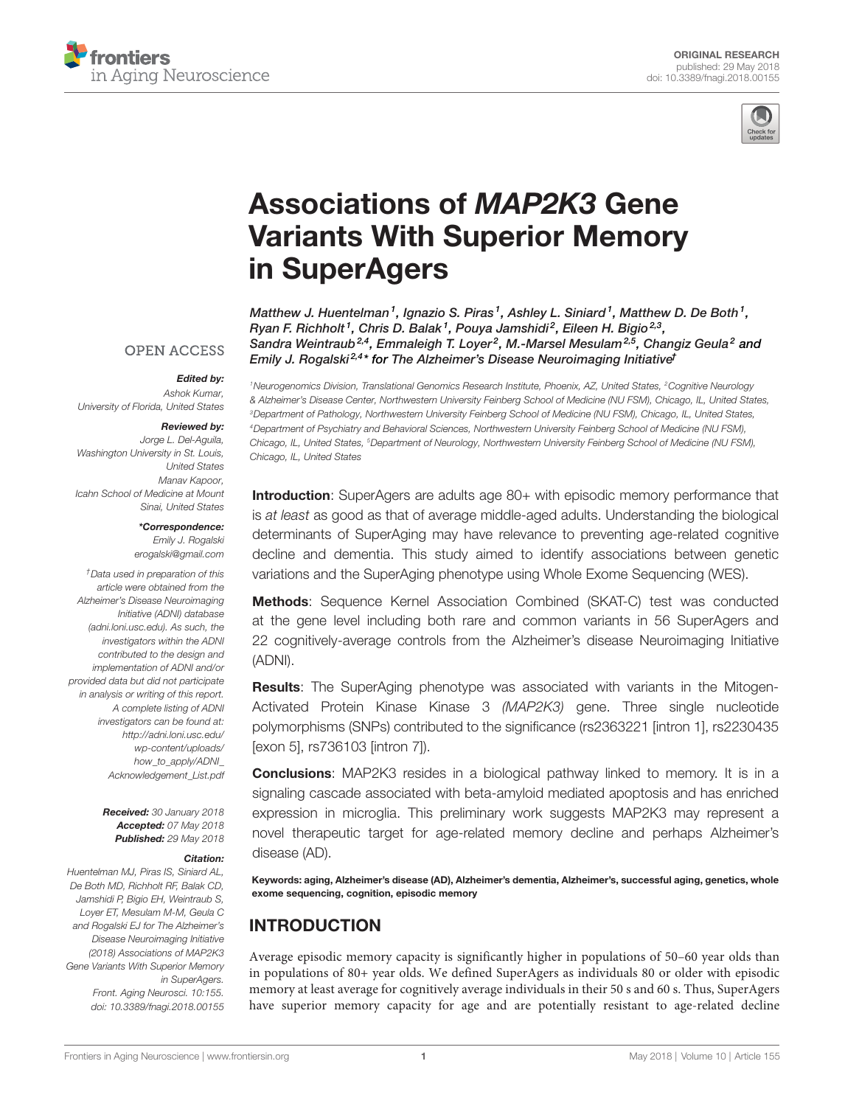



# [Associations of](https://www.frontiersin.org/articles/10.3389/fnagi.2018.00155/full) MAP2K3 Gene [Variants With Superior Memory](https://www.frontiersin.org/articles/10.3389/fnagi.2018.00155/full) [in SuperAgers](https://www.frontiersin.org/articles/10.3389/fnagi.2018.00155/full)

[Matthew J. Huentelman](http://loop.frontiersin.org/people/8462/overview)1, [Ignazio S. Piras](http://loop.frontiersin.org/people/479298/overview)1, Ashley L. Siniard1, [Matthew D. De Both](http://loop.frontiersin.org/people/556200/overview)1, Ryan F. Richholt<sup>1</sup>, Chris D. Balak<sup>1</sup>, Pouya Jamshidi<sup>2</sup>, [Eileen H. Bigio](http://loop.frontiersin.org/people/522744/overview)<sup>2,3</sup>, [Sandra Weintraub](https://loop.frontiersin.org/people/563120/overview)<sup>2,4</sup>, [Emmaleigh T. Loyer](http://loop.frontiersin.org/people/550093/overview)<sup>2</sup>, M.-Marsel Mesulam<sup>2,5</sup>, [Changiz Geula](http://loop.frontiersin.org/people/4992/overview)<sup>2</sup> and [Emily J. Rogalski](http://loop.frontiersin.org/people/204873/overview)<sup>2,4\*</sup> for The Alzheimer's Disease Neuroimaging Initiative<sup>F</sup>

#### **OPEN ACCESS**

#### Edited by:

Ashok Kumar, University of Florida, United States

#### Reviewed by:

Jorge L. Del-Aguila, Washington University in St. Louis, United States Manav Kapoor, Icahn School of Medicine at Mount Sinai, United States

> \*Correspondence: Emily J. Rogalski [erogalski@gmail.com](mailto:erogalski@gmail.com)

†Data used in preparation of this article were obtained from the Alzheimer's Disease Neuroimaging Initiative (ADNI) database [\(adni.loni.usc.edu\)](http://adni.loni.usc.edu). As such, the investigators within the ADNI contributed to the design and implementation of ADNI and/or provided data but did not participate in analysis or writing of this report. A complete listing of ADNI investigators can be found at: [http://adni.loni.usc.edu/](http://adni.loni.usc.edu/wp-content/uploads/how_to_apply/ADNI_Acknowledgement_List.pdf) [wp-content/uploads/](http://adni.loni.usc.edu/wp-content/uploads/how_to_apply/ADNI_Acknowledgement_List.pdf) [how\\_to\\_apply/ADNI\\_](http://adni.loni.usc.edu/wp-content/uploads/how_to_apply/ADNI_Acknowledgement_List.pdf) [Acknowledgement\\_List.pdf](http://adni.loni.usc.edu/wp-content/uploads/how_to_apply/ADNI_Acknowledgement_List.pdf)

> Received: 30 January 2018 Accepted: 07 May 2018 Published: 29 May 2018

#### Citation:

Huentelman MJ, Piras IS, Siniard AL, De Both MD, Richholt RF, Balak CD, Jamshidi P, Bigio EH, Weintraub S, Loyer ET, Mesulam M-M, Geula C and Rogalski EJ for The Alzheimer's Disease Neuroimaging Initiative (2018) Associations of MAP2K3 Gene Variants With Superior Memory in SuperAgers. Front. Aging Neurosci. 10:155. [doi: 10.3389/fnagi.2018.00155](https://doi.org/10.3389/fnagi.2018.00155) <sup>1</sup>Neurogenomics Division, Translational Genomics Research Institute, Phoenix, AZ, United States, <sup>2</sup>Cognitive Neurology & Alzheimer's Disease Center, Northwestern University Feinberg School of Medicine (NU FSM), Chicago, IL, United States, <sup>3</sup>Department of Pathology, Northwestern University Feinberg School of Medicine (NU FSM), Chicago, IL, United States, <sup>4</sup>Department of Psychiatry and Behavioral Sciences, Northwestern University Feinberg School of Medicine (NU FSM), Chicago, IL, United States, <sup>5</sup>Department of Neurology, Northwestern University Feinberg School of Medicine (NU FSM), Chicago, IL, United States

Introduction: SuperAgers are adults age 80+ with episodic memory performance that is at least as good as that of average middle-aged adults. Understanding the biological determinants of SuperAging may have relevance to preventing age-related cognitive decline and dementia. This study aimed to identify associations between genetic variations and the SuperAging phenotype using Whole Exome Sequencing (WES).

Methods: Sequence Kernel Association Combined (SKAT-C) test was conducted at the gene level including both rare and common variants in 56 SuperAgers and 22 cognitively-average controls from the Alzheimer's disease Neuroimaging Initiative (ADNI).

Results: The SuperAging phenotype was associated with variants in the Mitogen-Activated Protein Kinase Kinase 3 (MAP2K3) gene. Three single nucleotide polymorphisms (SNPs) contributed to the significance (rs2363221 [intron 1], rs2230435 [exon 5], rs736103 [intron 7]).

**Conclusions:** MAP2K3 resides in a biological pathway linked to memory. It is in a signaling cascade associated with beta-amyloid mediated apoptosis and has enriched expression in microglia. This preliminary work suggests MAP2K3 may represent a novel therapeutic target for age-related memory decline and perhaps Alzheimer's disease (AD).

Keywords: aging, Alzheimer's disease (AD), Alzheimer's dementia, Alzheimer's, successful aging, genetics, whole exome sequencing, cognition, episodic memory

## INTRODUCTION

Average episodic memory capacity is significantly higher in populations of 50–60 year olds than in populations of 80+ year olds. We defined SuperAgers as individuals 80 or older with episodic memory at least average for cognitively average individuals in their 50 s and 60 s. Thus, SuperAgers have superior memory capacity for age and are potentially resistant to age-related decline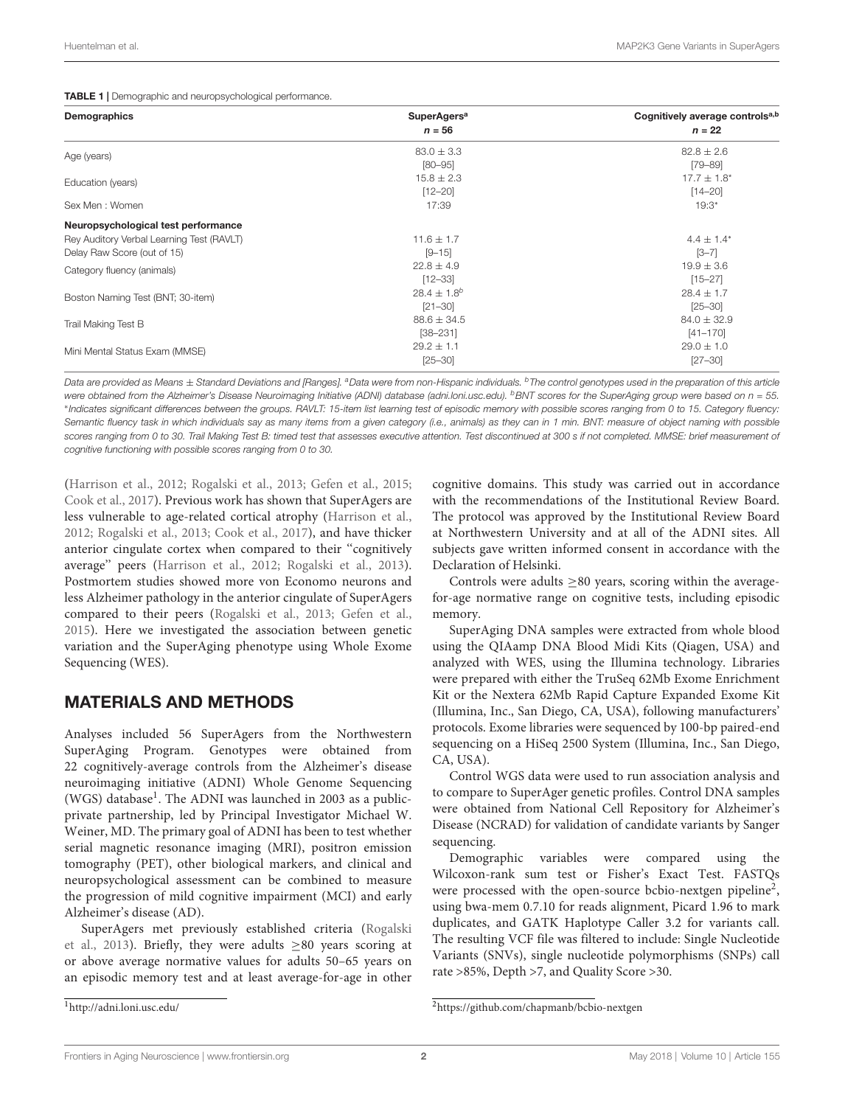#### <span id="page-1-2"></span>TABLE 1 | Demographic and neuropsychological performance.

| Demographics                              | <b>SuperAgers<sup>a</sup></b><br>$n = 56$ | Cognitively average controls <sup>a,b</sup><br>$n = 22$ |
|-------------------------------------------|-------------------------------------------|---------------------------------------------------------|
| Age (years)                               | $83.0 \pm 3.3$                            | $82.8 \pm 2.6$                                          |
|                                           | $[80 - 95]$                               | $[79 - 89]$                                             |
| Education (years)                         | $15.8 \pm 2.3$                            | $17.7 \pm 1.8^*$                                        |
|                                           | $[12 - 20]$                               | $[14 - 20]$                                             |
| Sex Men: Women                            | 17:39                                     | $19:3*$                                                 |
| Neuropsychological test performance       |                                           |                                                         |
| Rey Auditory Verbal Learning Test (RAVLT) | $11.6 \pm 1.7$                            | $4.4 \pm 1.4^*$                                         |
| Delay Raw Score (out of 15)               | $[9 - 15]$                                | $[3 - 7]$                                               |
| Category fluency (animals)                | $22.8 \pm 4.9$                            | $19.9 \pm 3.6$                                          |
|                                           | $[12 - 33]$                               | $[15 - 27]$                                             |
| Boston Naming Test (BNT; 30-item)         | $28.4 \pm 1.8^{b}$                        | $28.4 \pm 1.7$                                          |
|                                           | $[21 - 30]$                               | $[25 - 30]$                                             |
| Trail Making Test B                       | $88.6 \pm 34.5$                           | $84.0 \pm 32.9$                                         |
|                                           | $[38 - 231]$                              | $[41 - 170]$                                            |
| Mini Mental Status Exam (MMSE)            | $29.2 \pm 1.1$                            | $29.0 \pm 1.0$                                          |
|                                           | $[25 - 30]$                               | $[27 - 30]$                                             |

Data are provided as Means ± Standard Deviations and [Ranges]. <sup>a</sup>Data were from non-Hispanic individuals. <sup>b</sup>The control genotypes used in the preparation of this article were obtained from the Alzheimer's Disease Neuroimaging Initiative (ADNI) database [\(adni.loni.usc.edu\)](adni.loni.usc.edu).  $^{b}$ BNT scores for the SuperAging group were based on  $n = 55$ . ∗ Indicates significant differences between the groups. RAVLT: 15-item list learning test of episodic memory with possible scores ranging from 0 to 15. Category fluency: Semantic fluency task in which individuals say as many items from a given category (i.e., animals) as they can in 1 min. BNT: measure of object naming with possible scores ranging from 0 to 30. Trail Making Test B: timed test that assesses executive attention. Test discontinued at 300 s if not completed. MMSE: brief measurement of cognitive functioning with possible scores ranging from 0 to 30.

[\(Harrison et al.,](#page-4-0) [2012;](#page-4-0) [Rogalski et al.,](#page-4-1) [2013;](#page-4-1) [Gefen et al.,](#page-4-2) [2015;](#page-4-2) [Cook et al.,](#page-4-3) [2017\)](#page-4-3). Previous work has shown that SuperAgers are less vulnerable to age-related cortical atrophy [\(Harrison et al.,](#page-4-0) [2012;](#page-4-0) [Rogalski et al.,](#page-4-1) [2013;](#page-4-1) [Cook et al.,](#page-4-3) [2017\)](#page-4-3), and have thicker anterior cingulate cortex when compared to their ''cognitively average'' peers [\(Harrison et al.,](#page-4-0) [2012;](#page-4-0) [Rogalski et al.,](#page-4-1) [2013\)](#page-4-1). Postmortem studies showed more von Economo neurons and less Alzheimer pathology in the anterior cingulate of SuperAgers compared to their peers [\(Rogalski et al.,](#page-4-1) [2013;](#page-4-1) [Gefen et al.,](#page-4-2) [2015\)](#page-4-2). Here we investigated the association between genetic variation and the SuperAging phenotype using Whole Exome Sequencing (WES).

## MATERIALS AND METHODS

Analyses included 56 SuperAgers from the Northwestern SuperAging Program. Genotypes were obtained from 22 cognitively-average controls from the Alzheimer's disease neuroimaging initiative (ADNI) Whole Genome Sequencing (WGS) database<sup>[1](#page-1-0)</sup>. The ADNI was launched in 2003 as a publicprivate partnership, led by Principal Investigator Michael W. Weiner, MD. The primary goal of ADNI has been to test whether serial magnetic resonance imaging (MRI), positron emission tomography (PET), other biological markers, and clinical and neuropsychological assessment can be combined to measure the progression of mild cognitive impairment (MCI) and early Alzheimer's disease (AD).

SuperAgers met previously established criteria [\(Rogalski](#page-4-1) [et al.,](#page-4-1) [2013\)](#page-4-1). Briefly, they were adults  $\geq 80$  years scoring at or above average normative values for adults 50–65 years on an episodic memory test and at least average-for-age in other

<span id="page-1-0"></span><sup>1</sup><http://adni.loni.usc.edu/>

cognitive domains. This study was carried out in accordance with the recommendations of the Institutional Review Board. The protocol was approved by the Institutional Review Board at Northwestern University and at all of the ADNI sites. All subjects gave written informed consent in accordance with the Declaration of Helsinki.

Controls were adults ≥80 years, scoring within the averagefor-age normative range on cognitive tests, including episodic memory.

SuperAging DNA samples were extracted from whole blood using the QIAamp DNA Blood Midi Kits (Qiagen, USA) and analyzed with WES, using the Illumina technology. Libraries were prepared with either the TruSeq 62Mb Exome Enrichment Kit or the Nextera 62Mb Rapid Capture Expanded Exome Kit (Illumina, Inc., San Diego, CA, USA), following manufacturers' protocols. Exome libraries were sequenced by 100-bp paired-end sequencing on a HiSeq 2500 System (Illumina, Inc., San Diego, CA, USA).

Control WGS data were used to run association analysis and to compare to SuperAger genetic profiles. Control DNA samples were obtained from National Cell Repository for Alzheimer's Disease (NCRAD) for validation of candidate variants by Sanger sequencing.

Demographic variables were compared using the Wilcoxon-rank sum test or Fisher's Exact Test. FASTQs were processed with the open-source bcbio-nextgen pipeline<sup>[2](#page-1-1)</sup>, using bwa-mem 0.7.10 for reads alignment, Picard 1.96 to mark duplicates, and GATK Haplotype Caller 3.2 for variants call. The resulting VCF file was filtered to include: Single Nucleotide Variants (SNVs), single nucleotide polymorphisms (SNPs) call rate >85%, Depth >7, and Quality Score >30.

<span id="page-1-1"></span><sup>2</sup><https://github.com/chapmanb/bcbio-nextgen>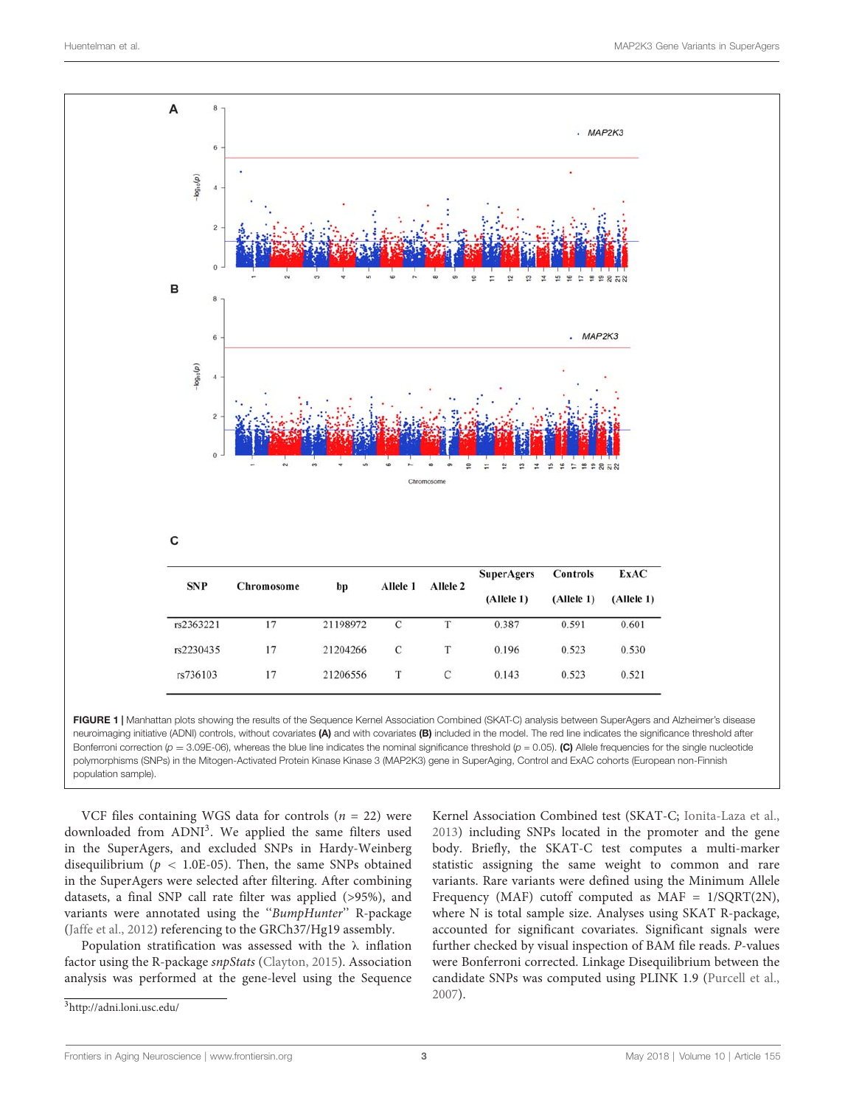

<span id="page-2-1"></span>FIGURE 1 | Manhattan plots showing the results of the Sequence Kernel Association Combined (SKAT-C) analysis between SuperAgers and Alzheimer's disease neuroimaging initiative (ADNI) controls, without covariates (A) and with covariates (B) included in the model. The red line indicates the significance threshold after Bonferroni correction ( $p = 3.09E-06$ ), whereas the blue line indicates the nominal significance threshold ( $p = 0.05$ ). (C) Allele frequencies for the single nucleotide polymorphisms (SNPs) in the Mitogen-Activated Protein Kinase Kinase 3 (MAP2K3) gene in SuperAging, Control and ExAC cohorts (European non-Finnish population sample).

VCF files containing WGS data for controls ( $n = 22$ ) were downloaded from ADNI<sup>[3](#page-2-0)</sup>. We applied the same filters used in the SuperAgers, and excluded SNPs in Hardy-Weinberg disequilibrium ( $p < 1.0E-05$ ). Then, the same SNPs obtained in the SuperAgers were selected after filtering. After combining datasets, a final SNP call rate filter was applied (>95%), and variants were annotated using the "BumpHunter" R-package [\(Jaffe et al.,](#page-4-4) [2012\)](#page-4-4) referencing to the GRCh37/Hg19 assembly.

Population stratification was assessed with the λ inflation factor using the R-package snpStats [\(Clayton,](#page-4-5) [2015\)](#page-4-5). Association analysis was performed at the gene-level using the Sequence

<span id="page-2-0"></span><sup>3</sup><http://adni.loni.usc.edu/>

Kernel Association Combined test (SKAT-C; [Ionita-Laza et al.,](#page-4-6) [2013\)](#page-4-6) including SNPs located in the promoter and the gene body. Briefly, the SKAT-C test computes a multi-marker statistic assigning the same weight to common and rare variants. Rare variants were defined using the Minimum Allele Frequency (MAF) cutoff computed as MAF = 1/SQRT(2N), where N is total sample size. Analyses using SKAT R-package, accounted for significant covariates. Significant signals were further checked by visual inspection of BAM file reads. P-values were Bonferroni corrected. Linkage Disequilibrium between the candidate SNPs was computed using PLINK 1.9 [\(Purcell et al.,](#page-4-7) [2007\)](#page-4-7).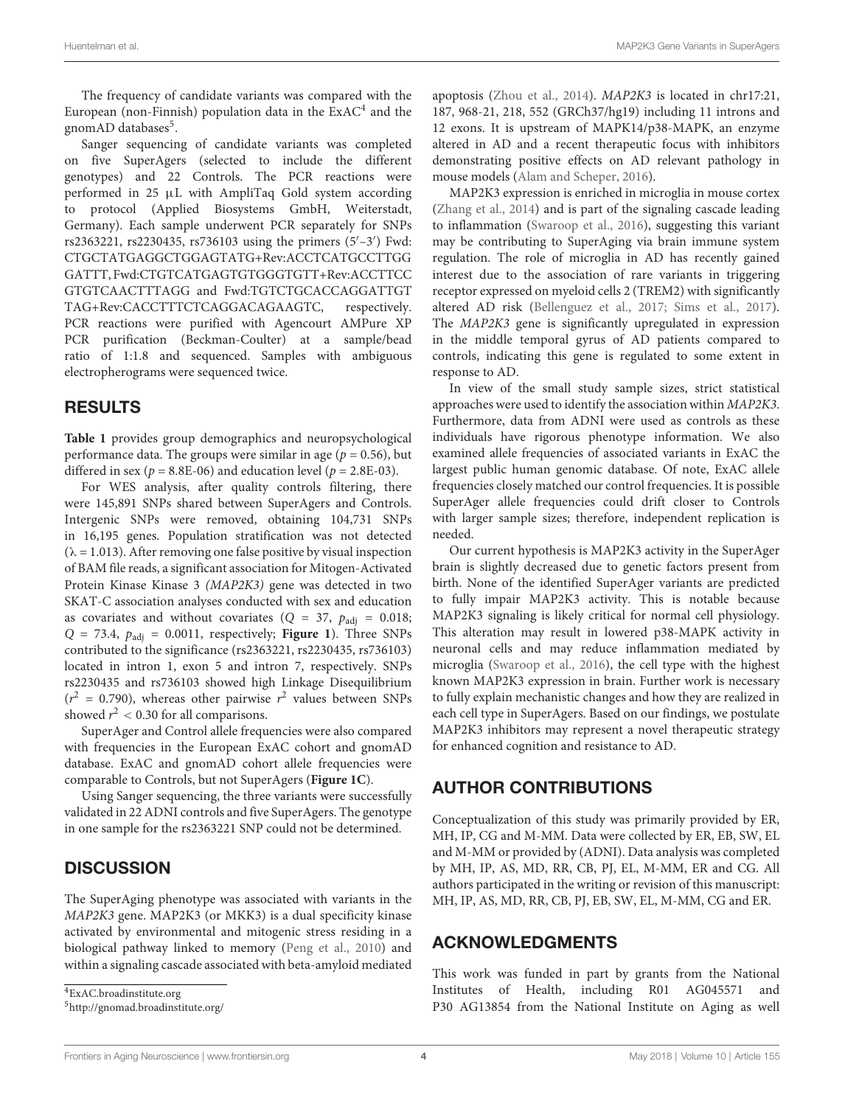The frequency of candidate variants was compared with the European (non-Finnish) population data in the  $\text{ExAC}^4$  $\text{ExAC}^4$  and the gnomAD databases<sup>[5](#page-3-1)</sup>.

Sanger sequencing of candidate variants was completed on five SuperAgers (selected to include the different genotypes) and 22 Controls. The PCR reactions were performed in 25 µL with AmpliTaq Gold system according to protocol (Applied Biosystems GmbH, Weiterstadt, Germany). Each sample underwent PCR separately for SNPs rs2363221, rs2230435, rs736103 using the primers (5'-3') Fwd: CTGCTATGAGGCTGGAGTATG+Rev:ACCTCATGCCTTGG GATTT, Fwd:CTGTCATGAGTGTGGGTGTT+Rev:ACCTTCC GTGTCAACTTTAGG and Fwd:TGTCTGCACCAGGATTGT TAG+Rev:CACCTTTCTCAGGACAGAAGTC, respectively. PCR reactions were purified with Agencourt AMPure XP PCR purification (Beckman-Coulter) at a sample/bead ratio of 1:1.8 and sequenced. Samples with ambiguous electropherograms were sequenced twice.

#### RESULTS

**[Table 1](#page-1-2)** provides group demographics and neuropsychological performance data. The groups were similar in age ( $p = 0.56$ ), but differed in sex ( $p = 8.8E-06$ ) and education level ( $p = 2.8E-03$ ).

For WES analysis, after quality controls filtering, there were 145,891 SNPs shared between SuperAgers and Controls. Intergenic SNPs were removed, obtaining 104,731 SNPs in 16,195 genes. Population stratification was not detected  $(\lambda = 1.013)$ . After removing one false positive by visual inspection of BAM file reads, a significant association for Mitogen-Activated Protein Kinase Kinase 3 (MAP2K3) gene was detected in two SKAT-C association analyses conducted with sex and education as covariates and without covariates ( $Q = 37$ ,  $p_{\text{adi}} = 0.018$ ;  $Q = 73.4$ ,  $p_{\text{adj}} = 0.0011$ , respectively; **[Figure 1](#page-2-1)**). Three SNPs contributed to the significance (rs2363221, rs2230435, rs736103) located in intron 1, exon 5 and intron 7, respectively. SNPs rs2230435 and rs736103 showed high Linkage Disequilibrium  $(r^2 = 0.790)$ , whereas other pairwise  $r^2$  values between SNPs showed  $r^2$  < 0.30 for all comparisons.

SuperAger and Control allele frequencies were also compared with frequencies in the European ExAC cohort and gnomAD database. ExAC and gnomAD cohort allele frequencies were comparable to Controls, but not SuperAgers (**[Figure 1C](#page-2-1)**).

Using Sanger sequencing, the three variants were successfully validated in 22 ADNI controls and five SuperAgers. The genotype in one sample for the rs2363221 SNP could not be determined.

## **DISCUSSION**

The SuperAging phenotype was associated with variants in the MAP2K3 gene. MAP2K3 (or MKK3) is a dual specificity kinase activated by environmental and mitogenic stress residing in a biological pathway linked to memory [\(Peng et al.,](#page-4-8) [2010\)](#page-4-8) and within a signaling cascade associated with beta-amyloid mediated

<span id="page-3-0"></span><sup>4</sup>[ExAC.broadinstitute.org](http://ExAC.broadinstitute.org)

<span id="page-3-1"></span><sup>5</sup><http://gnomad.broadinstitute.org/>

apoptosis [\(Zhou et al.,](#page-4-9) [2014\)](#page-4-9). MAP2K3 is located in chr17:21, 187, 968-21, 218, 552 (GRCh37/hg19) including 11 introns and 12 exons. It is upstream of MAPK14/p38-MAPK, an enzyme altered in AD and a recent therapeutic focus with inhibitors demonstrating positive effects on AD relevant pathology in mouse models [\(Alam and Scheper,](#page-4-10) [2016\)](#page-4-10).

MAP2K3 expression is enriched in microglia in mouse cortex [\(Zhang et al.,](#page-4-11) [2014\)](#page-4-11) and is part of the signaling cascade leading to inflammation [\(Swaroop et al.,](#page-4-12) [2016\)](#page-4-12), suggesting this variant may be contributing to SuperAging via brain immune system regulation. The role of microglia in AD has recently gained interest due to the association of rare variants in triggering receptor expressed on myeloid cells 2 (TREM2) with significantly altered AD risk [\(Bellenguez et al.,](#page-4-13) [2017;](#page-4-13) [Sims et al.,](#page-4-14) [2017\)](#page-4-14). The MAP2K3 gene is significantly upregulated in expression in the middle temporal gyrus of AD patients compared to controls, indicating this gene is regulated to some extent in response to AD.

In view of the small study sample sizes, strict statistical approaches were used to identify the association within MAP2K3. Furthermore, data from ADNI were used as controls as these individuals have rigorous phenotype information. We also examined allele frequencies of associated variants in ExAC the largest public human genomic database. Of note, ExAC allele frequencies closely matched our control frequencies. It is possible SuperAger allele frequencies could drift closer to Controls with larger sample sizes; therefore, independent replication is needed.

Our current hypothesis is MAP2K3 activity in the SuperAger brain is slightly decreased due to genetic factors present from birth. None of the identified SuperAger variants are predicted to fully impair MAP2K3 activity. This is notable because MAP2K3 signaling is likely critical for normal cell physiology. This alteration may result in lowered p38-MAPK activity in neuronal cells and may reduce inflammation mediated by microglia [\(Swaroop et al.,](#page-4-12) [2016\)](#page-4-12), the cell type with the highest known MAP2K3 expression in brain. Further work is necessary to fully explain mechanistic changes and how they are realized in each cell type in SuperAgers. Based on our findings, we postulate MAP2K3 inhibitors may represent a novel therapeutic strategy for enhanced cognition and resistance to AD.

## AUTHOR CONTRIBUTIONS

Conceptualization of this study was primarily provided by ER, MH, IP, CG and M-MM. Data were collected by ER, EB, SW, EL and M-MM or provided by (ADNI). Data analysis was completed by MH, IP, AS, MD, RR, CB, PJ, EL, M-MM, ER and CG. All authors participated in the writing or revision of this manuscript: MH, IP, AS, MD, RR, CB, PJ, EB, SW, EL, M-MM, CG and ER.

## ACKNOWLEDGMENTS

This work was funded in part by grants from the National Institutes of Health, including R01 AG045571 and P30 AG13854 from the National Institute on Aging as well